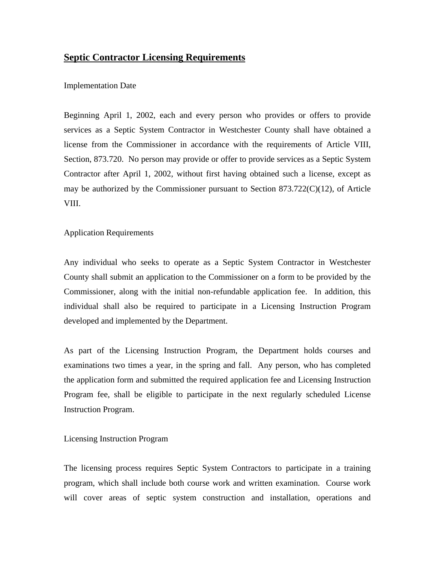# **Septic Contractor Licensing Requirements**

## Implementation Date

Beginning April 1, 2002, each and every person who provides or offers to provide services as a Septic System Contractor in Westchester County shall have obtained a license from the Commissioner in accordance with the requirements of Article VIII, Section, 873.720. No person may provide or offer to provide services as a Septic System Contractor after April 1, 2002, without first having obtained such a license, except as may be authorized by the Commissioner pursuant to Section 873.722(C)(12), of Article VIII.

### Application Requirements

Any individual who seeks to operate as a Septic System Contractor in Westchester County shall submit an application to the Commissioner on a form to be provided by the Commissioner, along with the initial non-refundable application fee. In addition, this individual shall also be required to participate in a Licensing Instruction Program developed and implemented by the Department.

As part of the Licensing Instruction Program, the Department holds courses and examinations two times a year, in the spring and fall. Any person, who has completed the application form and submitted the required application fee and Licensing Instruction Program fee, shall be eligible to participate in the next regularly scheduled License Instruction Program.

### Licensing Instruction Program

The licensing process requires Septic System Contractors to participate in a training program, which shall include both course work and written examination. Course work will cover areas of septic system construction and installation, operations and